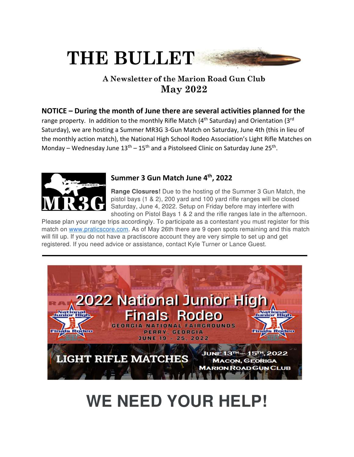# THE BULLET

### A Newsletter of the Marion Road Gun Club **May 2022**

#### **NOTICE – During the month of June there are several activities planned for the**

range property. In addition to the monthly Rifle Match (4<sup>th</sup> Saturday) and Orientation (3<sup>rd</sup> Saturday), we are hosting a Summer MR3G 3-Gun Match on Saturday, June 4th (this in lieu of the monthly action match), the National High School Rodeo Association's Light Rifle Matches on Monday – Wednesday June  $13<sup>th</sup> - 15<sup>th</sup>$  and a Pistolseed Clinic on Saturday June 25<sup>th</sup>.



#### **Summer 3 Gun Match June 4th, 2022**

**Range Closures!** Due to the hosting of the Summer 3 Gun Match, the pistol bays (1 & 2), 200 yard and 100 yard rifle ranges will be closed Saturday, June 4, 2022. Setup on Friday before may interfere with shooting on Pistol Bays 1 & 2 and the rifle ranges late in the afternoon.

Please plan your range trips accordingly. To participate as a contestant you must register for this match on www.praticscore.com. As of May 26th there are 9 open spots remaining and this match will fill up. If you do not have a practiscore account they are very simple to set up and get registered. If you need advice or assistance, contact Kyle Turner or Lance Guest.



## WE NEED YOUR HELP!